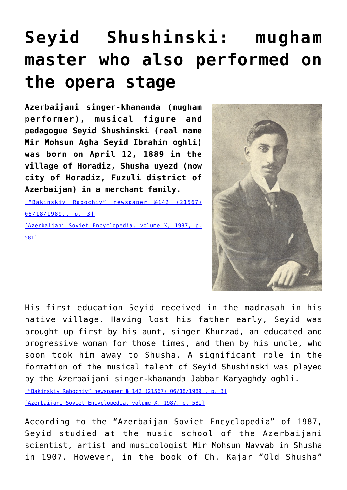## **[Seyid Shushinski: mugham](https://qarabag.com/seyid-shushinski-mugham-master-who-also-performed-on-the-opera-stage/) [master who also performed on](https://qarabag.com/seyid-shushinski-mugham-master-who-also-performed-on-the-opera-stage/) [the opera stage](https://qarabag.com/seyid-shushinski-mugham-master-who-also-performed-on-the-opera-stage/)**

**Azerbaijani singer-khananda (mugham performer), musical figure and pedagogue Seyid Shushinski (real name Mir Mohsun Agha Seyid Ibrahim oghli) was born on April 12, 1889 in the village of Horadiz, Shusha uyezd (now city of Horadiz, Fuzuli district of Azerbaijan) in a merchant family.**

[\["Bakinskiy Rabochiy" newspaper №142 \(21567\)](https://qarabag.com/wp-content/uploads/2022/04/N142-бакрабочий.pdf) [06/18/1989., p. 3\]](https://qarabag.com/wp-content/uploads/2022/04/N142-бакрабочий.pdf) [\[Azerbaijani Soviet Encyclopedia, volume X, 1987, p.](https://qarabag.com/wp-content/uploads/2022/04/Azərbaycan-Sovet-Ensiklopediyasi-1.pdf) [581\]](https://qarabag.com/wp-content/uploads/2022/04/Azərbaycan-Sovet-Ensiklopediyasi-1.pdf)



His first education Seyid received in the madrasah in his native village. Having lost his father early, Seyid was brought up first by his aunt, singer Khurzad, an educated and progressive woman for those times, and then by his uncle, who soon took him away to Shusha. A significant role in the formation of the musical talent of Seyid Shushinski was played by the Azerbaijani singer-khananda Jabbar Karyaghdy oghli.

[\["Bakinskiy Rabochiy" newspaper № 142 \(21567\) 06/18/1989., p. 3\]](https://qarabag.com/wp-content/uploads/2022/04/N142-бакрабочий.pdf)

[\[Azerbaijani Soviet Encyclopedia. volume X, 1987, p. 581\]](https://qarabag.com/wp-content/uploads/2022/04/Azərbaycan-Sovet-Ensiklopediyasi-1.pdf)

According to the "Azerbaijan Soviet Encyclopedia" of 1987, Seyid studied at the music school of the Azerbaijani scientist, artist and musicologist Mir Mohsun Navvab in Shusha in 1907. However, in the book of Ch. Kajar "Old Shusha"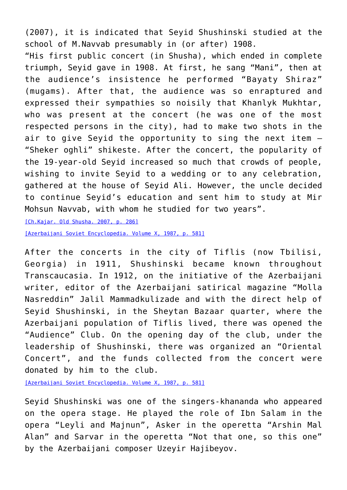(2007), it is indicated that Seyid Shushinski studied at the school of M.Navvab presumably in (or after) 1908.

"His first public concert (in Shusha), which ended in complete triumph, Seyid gave in 1908. At first, he sang "Mani", then at the audience's insistence he performed "Bayaty Shiraz" (mugams). After that, the audience was so enraptured and expressed their sympathies so noisily that Khanlyk Mukhtar, who was present at the concert (he was one of the most respected persons in the city), had to make two shots in the air to give Seyid the opportunity to sing the next item – "Sheker oghli" shikeste. After the concert, the popularity of the 19-year-old Seyid increased so much that crowds of people, wishing to invite Seyid to a wedding or to any celebration, gathered at the house of Seyid Ali. However, the uncle decided to continue Seyid's education and sent him to study at Mir Mohsun Navvab, with whom he studied for two years".

[\[Ch.Kajar. Old Shusha. 2007, p. 286\]](https://qarabag.com/wp-content/uploads/2022/04/Чингиз-Каджар-Старая-Шуша.pdf)

[\[Azerbaijani Soviet Encyclopedia. Volume X, 1987, p. 581\]](https://qarabag.com/wp-content/uploads/2022/04/Azərbaycan-Sovet-Ensiklopediyasi-1.pdf)

After the concerts in the city of Tiflis (now Tbilisi, Georgia) in 1911, Shushinski became known throughout Transcaucasia. In 1912, on the initiative of the Azerbaijani writer, editor of the Azerbaijani satirical magazine "Molla Nasreddin" Jalil Mammadkulizade and with the direct help of Seyid Shushinski, in the Sheytan Bazaar quarter, where the Azerbaijani population of Tiflis lived, there was opened the "Audience" Club. On the opening day of the club, under the leadership of Shushinski, there was organized an "Oriental Concert", and the funds collected from the concert were donated by him to the club.

[\[Azerbaijani Soviet Encyclopedia. Volume X, 1987, p. 581\]](https://qarabag.com/wp-content/uploads/2022/04/Azərbaycan-Sovet-Ensiklopediyasi-1.pdf)

Seyid Shushinski was one of the singers-khananda who appeared on the opera stage. He played the role of Ibn Salam in the opera "Leyli and Majnun", Asker in the operetta "Arshin Mal Alan" and Sarvar in the operetta "Not that one, so this one" by the Azerbaijani composer Uzeyir Hajibeyov.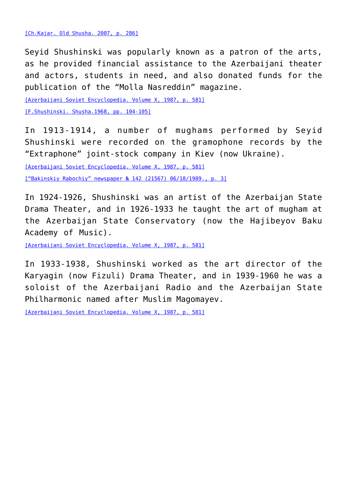Seyid Shushinski was popularly known as a patron of the arts, as he provided financial assistance to the Azerbaijani theater and actors, students in need, and also donated funds for the publication of the "Molla Nasreddin" magazine.

[\[Azerbaijani Soviet Encyclopedia. Volume X, 1987, p. 581\]](https://qarabag.com/wp-content/uploads/2022/04/Azərbaycan-Sovet-Ensiklopediyasi-1.pdf)

[\[F.Shushinski. Shusha.1968, pp. 104-105\]](https://qarabag.com/wp-content/uploads/2022/04/Фирудин-Шушинский-Шуша.pdf)

In 1913-1914, a number of mughams performed by Seyid Shushinski were recorded on the gramophone records by the "Extraphone" joint-stock company in Kiev (now Ukraine).

[\[Azerbaijani Soviet Encyclopedia. Volume X, 1987, p. 581\]](https://qarabag.com/wp-content/uploads/2022/04/Azərbaycan-Sovet-Ensiklopediyasi-1.pdf)

[\["Bakinskiy Rabochiy" newspaper № 142 \(21567\) 06/18/1989., p. 3\]](https://qarabag.com/wp-content/uploads/2022/04/N142-бакрабочий.pdf)

In 1924-1926, Shushinski was an artist of the Azerbaijan State Drama Theater, and in 1926-1933 he taught the art of mugham at the Azerbaijan State Conservatory (now the Hajibeyov Baku Academy of Music).

[\[Azerbaijani Soviet Encyclopedia. Volume X, 1987, p. 581\]](https://qarabag.com/wp-content/uploads/2022/04/Azərbaycan-Sovet-Ensiklopediyasi-1.pdf)

In 1933-1938, Shushinski worked as the art director of the Karyagin (now Fizuli) Drama Theater, and in 1939-1960 he was a soloist of the Azerbaijani Radio and the Azerbaijan State Philharmonic named after Muslim Magomayev.

[\[Azerbaijani Soviet Encyclopedia. Volume X, 1987, p. 581\]](https://qarabag.com/wp-content/uploads/2022/04/Azərbaycan-Sovet-Ensiklopediyasi-1.pdf)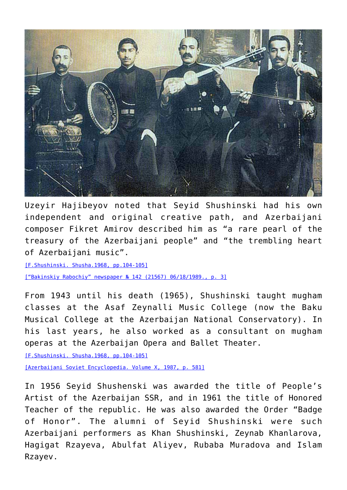

Uzeyir Hajibeyov noted that Seyid Shushinski had his own independent and original creative path, and Azerbaijani composer Fikret Amirov described him as "a rare pearl of the treasury of the Azerbaijani people" and "the trembling heart of Azerbaijani music".

[\[F.Shushinski. Shusha.1968, pp.104-105\]](https://qarabag.com/wp-content/uploads/2022/04/Фирудин-Шушинский-Шуша.pdf) [\["Bakinskiy Rabochiy" newspaper № 142 \(21567\) 06/18/1989., p. 3\]](https://qarabag.com/wp-content/uploads/2022/04/N142-бакрабочий.pdf)

From 1943 until his death (1965), Shushinski taught mugham classes at the Asaf Zeynalli Music College (now the Baku Musical College at the Azerbaijan National Conservatory). In his last years, he also worked as a consultant on mugham operas at the Azerbaijan Opera and Ballet Theater.

[\[F.Shushinski. Shusha.1968, pp.104-105\]](https://qarabag.com/wp-content/uploads/2022/04/Фирудин-Шушинский-Шуша.pdf)

[\[Azerbaijani Soviet Encyclopedia. Volume X, 1987, p. 581\]](https://qarabag.com/wp-content/uploads/2022/04/Azərbaycan-Sovet-Ensiklopediyasi-1.pdf)

In 1956 Seyid Shushenski was awarded the title of People's Artist of the Azerbaijan SSR, and in 1961 the title of Honored Teacher of the republic. He was also awarded the Order "Badge of Honor". The alumni of Seyid Shushinski were such Azerbaijani performers as Khan Shushinski, Zeynab Khanlarova, Hagigat Rzayeva, Abulfat Aliyev, Rubaba Muradova and Islam Rzayev.